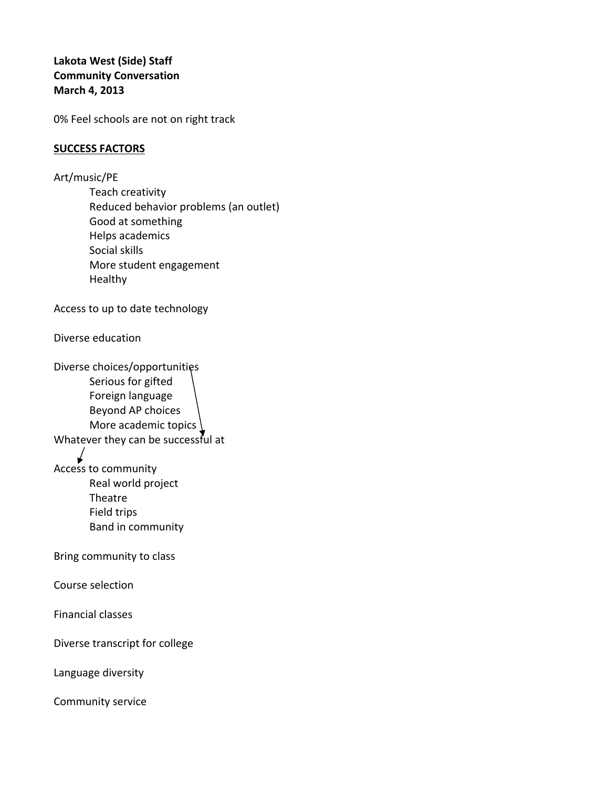## **Lakota West (Side) Staff Community Conversation March 4, 2013**

0% Feel schools are not on right track

## **SUCCESS FACTORS**

Art/music/PE Teach creativity Reduced behavior problems (an outlet) Good at something Helps academics Social skills More student engagement Healthy

Access to up to date technology

Diverse education

Diverse choices/opportunities Serious for gifted Foreign language Beyond AP choices More academic topics \ Whatever they can be successful at Access to community Real world project Theatre Field trips Band in community Bring community to class Course selection Financial classes

Diverse transcript for college

Language diversity

Community service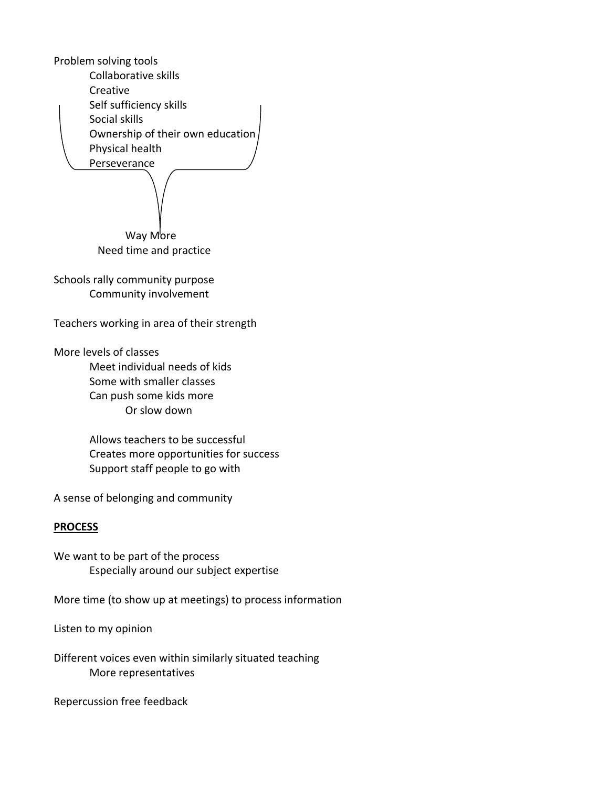Problem solving tools Collaborative skills Creative Self sufficiency skills Social skills Ownership of their own education Physical health Perseverance Way More Need time and practice Schools rally community purpose Community involvement

Teachers working in area of their strength

More levels of classes

Meet individual needs of kids Some with smaller classes Can push some kids more Or slow down

Allows teachers to be successful Creates more opportunities for success Support staff people to go with

A sense of belonging and community

## **PROCESS**

We want to be part of the process Especially around our subject expertise

More time (to show up at meetings) to process information

Listen to my opinion

Different voices even within similarly situated teaching More representatives

Repercussion free feedback